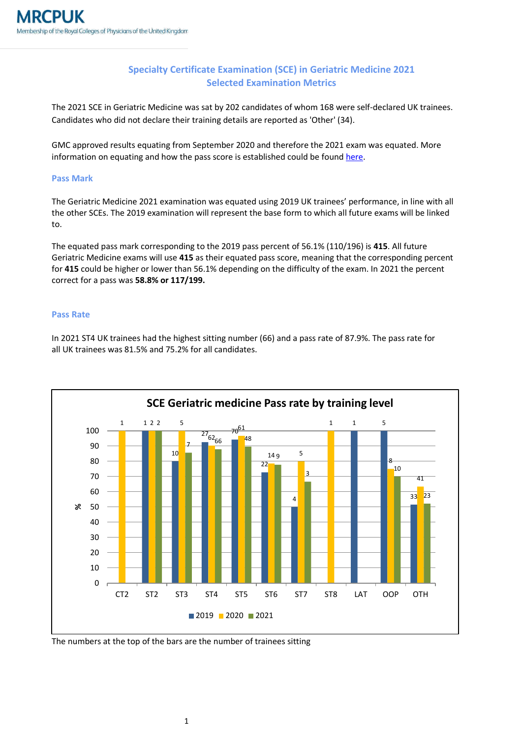## **Specialty Certificate Examination (SCE) in Geriatric Medicine 2021 Selected Examination Metrics**

The 2021 SCE in Geriatric Medicine was sat by 202 candidates of whom 168 were self-declared UK trainees. Candidates who did not declare their training details are reported as 'Other' (34).

GMC approved results equating from September 2020 and therefore the 2021 exam was equated. More information on equating and how the pass score is established could be foun[d here.](https://www.mrcpuk.org/mrcpuk-examinations/results/exam-pass-marks)

## **Pass Mark**

The Geriatric Medicine 2021 examination was equated using 2019 UK trainees' performance, in line with all the other SCEs. The 2019 examination will represent the base form to which all future exams will be linked to.

The equated pass mark corresponding to the 2019 pass percent of 56.1% (110/196) is **415**. All future Geriatric Medicine exams will use **415** as their equated pass score, meaning that the corresponding percent for **415** could be higher or lower than 56.1% depending on the difficulty of the exam. In 2021 the percent correct for a pass was **58.8% or 117/199.**

## **Pass Rate**

In 2021 ST4 UK trainees had the highest sitting number (66) and a pass rate of 87.9%. The pass rate for all UK trainees was 81.5% and 75.2% for all candidates.



The numbers at the top of the bars are the number of trainees sitting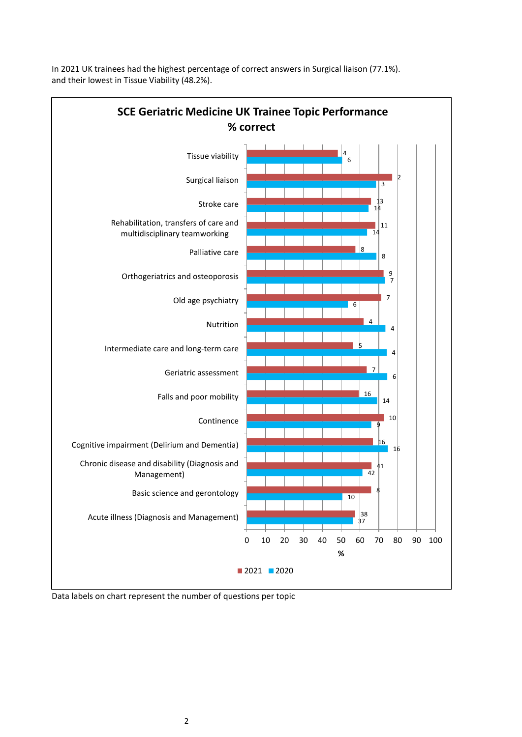

In 2021 UK trainees had the highest percentage of correct answers in Surgical liaison (77.1%). and their lowest in Tissue Viability (48.2%).

Data labels on chart represent the number of questions per topic